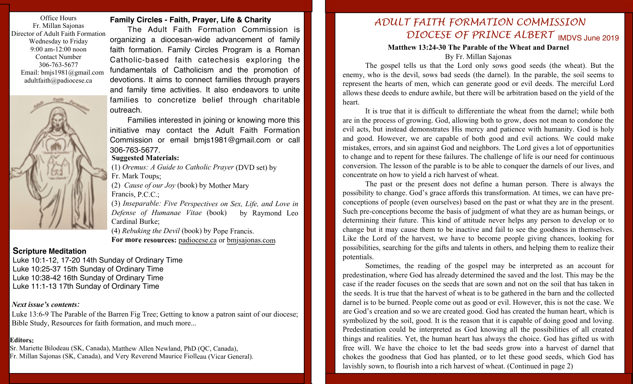Office Hours Fr. Millan Sajonas Director of Adult Faith Formation Wednesday to Friday 9:00 am-12:00 noon Contact Number 306-763-5677 Email: bmjs1981@gmail.com adultfaith@padiocese.ca



### **Family Circles - Faith, Prayer, Life & Charity**

The Adult Faith Formation Commission is organizing a diocesan-wide advancement of family faith formation. Family Circles Program is a Roman Catholic-based faith catechesis exploring the fundamentals of Catholicism and the promotion of devotions. It aims to connect families through prayers and family time activities. It also endeavors to unite families to concretize belief through charitable outreach.

Families interested in joining or knowing more this initiative may contact the Adult Faith Formation Commission or email bmjs1981@gmail.com or call 306-763-5677.

## **Suggested Materials:**

(1) *Oremus: A Guide to Catholic Prayer* (DVD set) by Fr. Mark Toups;

(2) *Cause of our Joy* (book) by Mother Mary

Francis, P.C.C.;

(3) *Inseparable: Five Perspectives on Sex, Life, and Love in Defense of Humanae Vitae* (book) by Raymond Leo Cardinal Burke;

(4) *Rebuking the Devil* (book) by Pope Francis. **For more resources:** padiocese.ca or bmjsajonas.com

#### **Scripture Meditation**

Luke 10:1-12, 17-20 14th Sunday of Ordinary Time Luke 10:25-37 15th Sunday of Ordinary Time Luke 10:38-42 16th Sunday of Ordinary Time Luke 11:1-13 17th Sunday of Ordinary Time

#### *Next issue's contents:*

Luke 13:6-9 The Parable of the Barren Fig Tree; Getting to know a patron saint of our diocese; Bible Study, Resources for faith formation, and much more...

#### **Editors:**

Sr. Mariette Bilodeau (SK, Canada), Matthew Allen Newland, PhD (QC, Canada),

Fr. Millan Sajonas (SK, Canada), and Very Reverend Maurice Fiolleau (Vicar General).

# DIOCESE OF PRINCE ALBERT **IMDVS June 2019** *ADULT FAITH FORMATION COMMISSION*

#### **Matthew 13:24-30 The Parable of the Wheat and Darnel** By Fr. Millan Sajonas

The gospel tells us that the Lord only sows good seeds (the wheat). But the enemy, who is the devil, sows bad seeds (the darnel). In the parable, the soil seems to represent the hearts of men, which can generate good or evil deeds. The merciful Lord allows these deeds to endure awhile, but there will be arbitration based on the yield of the heart.

It is true that it is difficult to differentiate the wheat from the darnel; while both are in the process of growing. God, allowing both to grow, does not mean to condone the evil acts, but instead demonstrates His mercy and patience with humanity. God is holy and good. However, we are capable of both good and evil actions. We could make mistakes, errors, and sin against God and neighbors. The Lord gives a lot of opportunities to change and to repent for these failures. The challenge of life is our need for continuous conversion. The lesson of the parable is to be able to conquer the darnels of our lives, and concentrate on how to yield a rich harvest of wheat.

The past or the present does not define a human person. There is always the possibility to change. God's grace affords this transformation. At times, we can have preconceptions of people (even ourselves) based on the past or what they are in the present. Such pre-conceptions become the basis of judgment of what they are as human beings, or determining their future. This kind of attitude never helps any person to develop or to change but it may cause them to be inactive and fail to see the goodness in themselves. Like the Lord of the harvest, we have to become people giving chances, looking for possibilities, searching for the gifts and talents in others, and helping them to realize their potentials.

Sometimes, the reading of the gospel may be interpreted as an account for predestination, where God has already determined the saved and the lost. This may be the case if the reader focuses on the seeds that are sown and not on the soil that has taken in the seeds. It is true that the harvest of wheat is to be gathered in the barn and the collected darnel is to be burned. People come out as good or evil. However, this is not the case. We are God's creation and so we are created good. God has created the human heart, which is symbolized by the soil, good. It is the reason that it is capable of doing good and loving. Predestination could be interpreted as God knowing all the possibilities of all created things and realities. Yet, the human heart has always the choice. God has gifted us with free will. We have the choice to let the bad seeds grow into a harvest of darnel that chokes the goodness that God has planted, or to let these good seeds, which God has lavishly sown, to flourish into a rich harvest of wheat. (Continued in page 2)